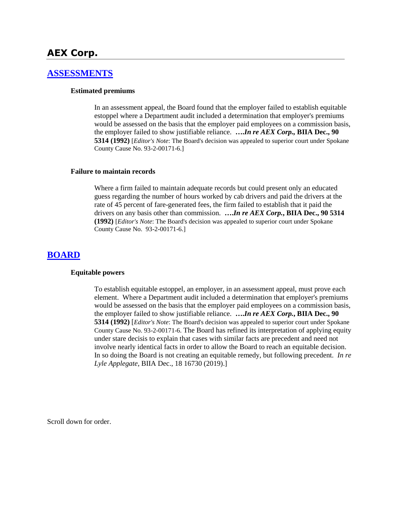# **AEX Corp.**

## **[ASSESSMENTS](http://www.biia.wa.gov/SDSubjectIndex.html#ASSESSMENTS)**

### **Estimated premiums**

In an assessment appeal, the Board found that the employer failed to establish equitable estoppel where a Department audit included a determination that employer's premiums would be assessed on the basis that the employer paid employees on a commission basis, the employer failed to show justifiable reliance. **….***In re AEX Corp.,* **BIIA Dec., 90 5314 (1992)** [*Editor's Note*: The Board's decision was appealed to superior court under Spokane County Cause No. 93-2-00171-6.]

### **Failure to maintain records**

Where a firm failed to maintain adequate records but could present only an educated guess regarding the number of hours worked by cab drivers and paid the drivers at the rate of 45 percent of fare-generated fees, the firm failed to establish that it paid the drivers on any basis other than commission. **….***In re AEX Corp.***, BIIA Dec., 90 5314 (1992)** [*Editor's Note*: The Board's decision was appealed to superior court under Spokane County Cause No. 93-2-00171-6.]

### **[BOARD](http://www.biia.wa.gov/SDSubjectIndex.html#BOARD)**

### **Equitable powers**

To establish equitable estoppel, an employer, in an assessment appeal, must prove each element. Where a Department audit included a determination that employer's premiums would be assessed on the basis that the employer paid employees on a commission basis, the employer failed to show justifiable reliance. **….***In re AEX Corp.***, BIIA Dec., 90 5314 (1992)** [*Editor's Note*: The Board's decision was appealed to superior court under Spokane County Cause No. 93-2-00171-6. The Board has refined its interpretation of applying equity under stare decisis to explain that cases with similar facts are precedent and need not involve nearly identical facts in order to allow the Board to reach an equitable decision. In so doing the Board is not creating an equitable remedy, but following precedent. *In re Lyle Applegate*, BIIA Dec., 18 16730 (2019).]

Scroll down for order.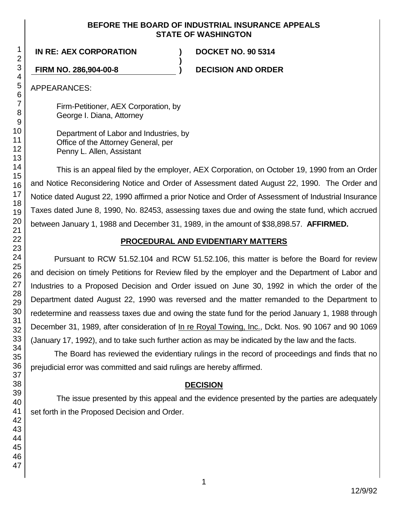## **BEFORE THE BOARD OF INDUSTRIAL INSURANCE APPEALS STATE OF WASHINGTON**

**)**

**IN RE: AEX CORPORATION ) DOCKET NO. 90 5314**

**FIRM NO. 286,904-00-8 ) DECISION AND ORDER**

APPEARANCES:

Firm-Petitioner, AEX Corporation, by George I. Diana, Attorney

Department of Labor and Industries, by Office of the Attorney General, per Penny L. Allen, Assistant

This is an appeal filed by the employer, AEX Corporation, on October 19, 1990 from an Order and Notice Reconsidering Notice and Order of Assessment dated August 22, 1990. The Order and Notice dated August 22, 1990 affirmed a prior Notice and Order of Assessment of Industrial Insurance Taxes dated June 8, 1990, No. 82453, assessing taxes due and owing the state fund, which accrued between January 1, 1988 and December 31, 1989, in the amount of \$38,898.57. **AFFIRMED.**

# **PROCEDURAL AND EVIDENTIARY MATTERS**

Pursuant to RCW 51.52.104 and RCW 51.52.106, this matter is before the Board for review and decision on timely Petitions for Review filed by the employer and the Department of Labor and Industries to a Proposed Decision and Order issued on June 30, 1992 in which the order of the Department dated August 22, 1990 was reversed and the matter remanded to the Department to redetermine and reassess taxes due and owing the state fund for the period January 1, 1988 through December 31, 1989, after consideration of In re Royal Towing, Inc., Dckt. Nos. 90 1067 and 90 1069 (January 17, 1992), and to take such further action as may be indicated by the law and the facts.

The Board has reviewed the evidentiary rulings in the record of proceedings and finds that no prejudicial error was committed and said rulings are hereby affirmed.

# **DECISION**

The issue presented by this appeal and the evidence presented by the parties are adequately set forth in the Proposed Decision and Order.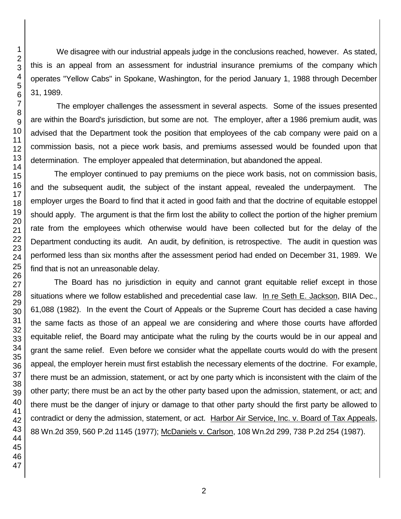We disagree with our industrial appeals judge in the conclusions reached, however. As stated, this is an appeal from an assessment for industrial insurance premiums of the company which operates "Yellow Cabs" in Spokane, Washington, for the period January 1, 1988 through December 31, 1989.

The employer challenges the assessment in several aspects. Some of the issues presented are within the Board's jurisdiction, but some are not. The employer, after a 1986 premium audit, was advised that the Department took the position that employees of the cab company were paid on a commission basis, not a piece work basis, and premiums assessed would be founded upon that determination. The employer appealed that determination, but abandoned the appeal.

The employer continued to pay premiums on the piece work basis, not on commission basis, and the subsequent audit, the subject of the instant appeal, revealed the underpayment. The employer urges the Board to find that it acted in good faith and that the doctrine of equitable estoppel should apply. The argument is that the firm lost the ability to collect the portion of the higher premium rate from the employees which otherwise would have been collected but for the delay of the Department conducting its audit. An audit, by definition, is retrospective. The audit in question was performed less than six months after the assessment period had ended on December 31, 1989. We find that is not an unreasonable delay.

The Board has no jurisdiction in equity and cannot grant equitable relief except in those situations where we follow established and precedential case law. In re Seth E. Jackson, BIIA Dec., 61,088 (1982). In the event the Court of Appeals or the Supreme Court has decided a case having the same facts as those of an appeal we are considering and where those courts have afforded equitable relief, the Board may anticipate what the ruling by the courts would be in our appeal and grant the same relief. Even before we consider what the appellate courts would do with the present appeal, the employer herein must first establish the necessary elements of the doctrine. For example, there must be an admission, statement, or act by one party which is inconsistent with the claim of the other party; there must be an act by the other party based upon the admission, statement, or act; and there must be the danger of injury or damage to that other party should the first party be allowed to contradict or deny the admission, statement, or act. Harbor Air Service, Inc. v. Board of Tax Appeals, 88 Wn.2d 359, 560 P.2d 1145 (1977); McDaniels v. Carlson, 108 Wn.2d 299, 738 P.2d 254 (1987).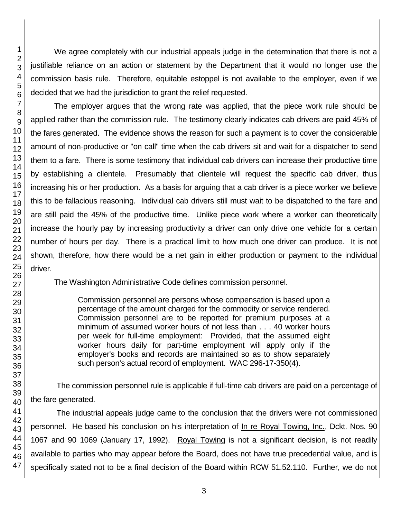We agree completely with our industrial appeals judge in the determination that there is not a justifiable reliance on an action or statement by the Department that it would no longer use the commission basis rule. Therefore, equitable estoppel is not available to the employer, even if we decided that we had the jurisdiction to grant the relief requested.

The employer argues that the wrong rate was applied, that the piece work rule should be applied rather than the commission rule. The testimony clearly indicates cab drivers are paid 45% of the fares generated. The evidence shows the reason for such a payment is to cover the considerable amount of non-productive or "on call" time when the cab drivers sit and wait for a dispatcher to send them to a fare. There is some testimony that individual cab drivers can increase their productive time by establishing a clientele. Presumably that clientele will request the specific cab driver, thus increasing his or her production. As a basis for arguing that a cab driver is a piece worker we believe this to be fallacious reasoning. Individual cab drivers still must wait to be dispatched to the fare and are still paid the 45% of the productive time. Unlike piece work where a worker can theoretically increase the hourly pay by increasing productivity a driver can only drive one vehicle for a certain number of hours per day. There is a practical limit to how much one driver can produce. It is not shown, therefore, how there would be a net gain in either production or payment to the individual driver.

The Washington Administrative Code defines commission personnel.

Commission personnel are persons whose compensation is based upon a percentage of the amount charged for the commodity or service rendered. Commission personnel are to be reported for premium purposes at a minimum of assumed worker hours of not less than . . . 40 worker hours per week for full-time employment: Provided, that the assumed eight worker hours daily for part-time employment will apply only if the employer's books and records are maintained so as to show separately such person's actual record of employment. WAC 296-17-350(4).

The commission personnel rule is applicable if full-time cab drivers are paid on a percentage of the fare generated.

The industrial appeals judge came to the conclusion that the drivers were not commissioned personnel. He based his conclusion on his interpretation of In re Royal Towing, Inc., Dckt. Nos. 90 1067 and 90 1069 (January 17, 1992). Royal Towing is not a significant decision, is not readily available to parties who may appear before the Board, does not have true precedential value, and is specifically stated not to be a final decision of the Board within RCW 51.52.110. Further, we do not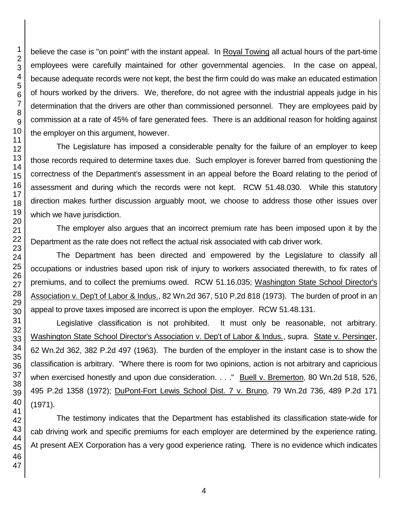believe the case is "on point" with the instant appeal. In Royal Towing all actual hours of the part-time employees were carefully maintained for other governmental agencies. In the case on appeal, because adequate records were not kept, the best the firm could do was make an educated estimation of hours worked by the drivers. We, therefore, do not agree with the industrial appeals judge in his determination that the drivers are other than commissioned personnel. They are employees paid by commission at a rate of 45% of fare generated fees. There is an additional reason for holding against the employer on this argument, however.

The Legislature has imposed a considerable penalty for the failure of an employer to keep those records required to determine taxes due. Such employer is forever barred from questioning the correctness of the Department's assessment in an appeal before the Board relating to the period of assessment and during which the records were not kept. RCW 51.48.030. While this statutory direction makes further discussion arguably moot, we choose to address those other issues over which we have jurisdiction.

The employer also argues that an incorrect premium rate has been imposed upon it by the Department as the rate does not reflect the actual risk associated with cab driver work.

The Department has been directed and empowered by the Legislature to classify all occupations or industries based upon risk of injury to workers associated therewith, to fix rates of premiums, and to collect the premiums owed. RCW 51.16.035; Washington State School Director's Association v. Dep't of Labor & Indus., 82 Wn.2d 367, 510 P.2d 818 (1973). The burden of proof in an appeal to prove taxes imposed are incorrect is upon the employer. RCW 51.48.131.

Legislative classification is not prohibited. It must only be reasonable, not arbitrary. Washington State School Director's Association v. Dep't of Labor & Indus., supra. State v. Persinger, Wn.2d 362, 382 P.2d 497 (1963). The burden of the employer in the instant case is to show the classification is arbitrary. "Where there is room for two opinions, action is not arbitrary and capricious when exercised honestly and upon due consideration. . . ." Buell v. Bremerton, 80 Wn.2d 518, 526, 495 P.2d 1358 (1972); DuPont-Fort Lewis School Dist. 7 v. Bruno, 79 Wn.2d 736, 489 P.2d 171 (1971).

The testimony indicates that the Department has established its classification state-wide for cab driving work and specific premiums for each employer are determined by the experience rating. At present AEX Corporation has a very good experience rating. There is no evidence which indicates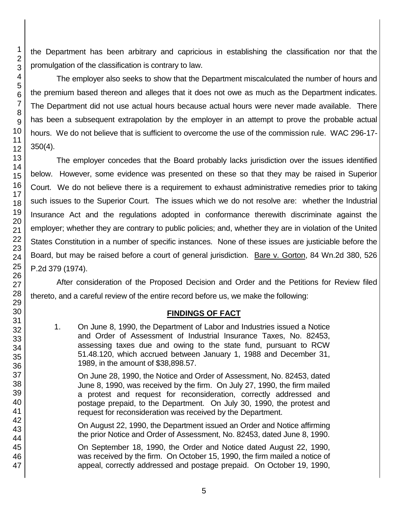the Department has been arbitrary and capricious in establishing the classification nor that the promulgation of the classification is contrary to law.

The employer also seeks to show that the Department miscalculated the number of hours and the premium based thereon and alleges that it does not owe as much as the Department indicates. The Department did not use actual hours because actual hours were never made available. There has been a subsequent extrapolation by the employer in an attempt to prove the probable actual hours. We do not believe that is sufficient to overcome the use of the commission rule. WAC 296-17- 350(4).

The employer concedes that the Board probably lacks jurisdiction over the issues identified below. However, some evidence was presented on these so that they may be raised in Superior Court. We do not believe there is a requirement to exhaust administrative remedies prior to taking such issues to the Superior Court. The issues which we do not resolve are: whether the Industrial Insurance Act and the regulations adopted in conformance therewith discriminate against the employer; whether they are contrary to public policies; and, whether they are in violation of the United States Constitution in a number of specific instances. None of these issues are justiciable before the Board, but may be raised before a court of general jurisdiction. Bare v. Gorton, 84 Wn.2d 380, 526 P.2d 379 (1974).

After consideration of the Proposed Decision and Order and the Petitions for Review filed thereto, and a careful review of the entire record before us, we make the following:

# **FINDINGS OF FACT**

1. On June 8, 1990, the Department of Labor and Industries issued a Notice and Order of Assessment of Industrial Insurance Taxes, No. 82453, assessing taxes due and owing to the state fund, pursuant to RCW 51.48.120, which accrued between January 1, 1988 and December 31, 1989, in the amount of \$38,898.57.

On June 28, 1990, the Notice and Order of Assessment, No. 82453, dated June 8, 1990, was received by the firm. On July 27, 1990, the firm mailed a protest and request for reconsideration, correctly addressed and postage prepaid, to the Department. On July 30, 1990, the protest and request for reconsideration was received by the Department.

On August 22, 1990, the Department issued an Order and Notice affirming the prior Notice and Order of Assessment, No. 82453, dated June 8, 1990.

On September 18, 1990, the Order and Notice dated August 22, 1990, was received by the firm. On October 15, 1990, the firm mailed a notice of appeal, correctly addressed and postage prepaid. On October 19, 1990,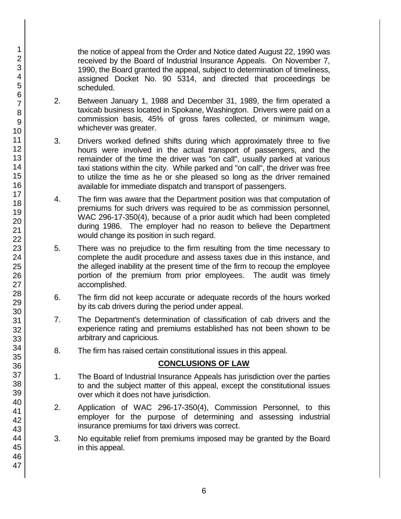the notice of appeal from the Order and Notice dated August 22, 1990 was received by the Board of Industrial Insurance Appeals. On November 7, 1990, the Board granted the appeal, subject to determination of timeliness, assigned Docket No. 90 5314, and directed that proceedings be scheduled.

- 2. Between January 1, 1988 and December 31, 1989, the firm operated a taxicab business located in Spokane, Washington. Drivers were paid on a commission basis, 45% of gross fares collected, or minimum wage, whichever was greater.
- 3. Drivers worked defined shifts during which approximately three to five hours were involved in the actual transport of passengers, and the remainder of the time the driver was "on call", usually parked at various taxi stations within the city. While parked and "on call", the driver was free to utilize the time as he or she pleased so long as the driver remained available for immediate dispatch and transport of passengers.
- 4. The firm was aware that the Department position was that computation of premiums for such drivers was required to be as commission personnel, WAC 296-17-350(4), because of a prior audit which had been completed during 1986. The employer had no reason to believe the Department would change its position in such regard.
- 5. There was no prejudice to the firm resulting from the time necessary to complete the audit procedure and assess taxes due in this instance, and the alleged inability at the present time of the firm to recoup the employee portion of the premium from prior employees. The audit was timely accomplished.
- 6. The firm did not keep accurate or adequate records of the hours worked by its cab drivers during the period under appeal.
- 7. The Department's determination of classification of cab drivers and the experience rating and premiums established has not been shown to be arbitrary and capricious.
- 8. The firm has raised certain constitutional issues in this appeal.

# **CONCLUSIONS OF LAW**

- 1. The Board of Industrial Insurance Appeals has jurisdiction over the parties to and the subject matter of this appeal, except the constitutional issues over which it does not have jurisdiction.
- 2. Application of WAC 296-17-350(4), Commission Personnel, to this employer for the purpose of determining and assessing industrial insurance premiums for taxi drivers was correct.
- 3. No equitable relief from premiums imposed may be granted by the Board in this appeal.